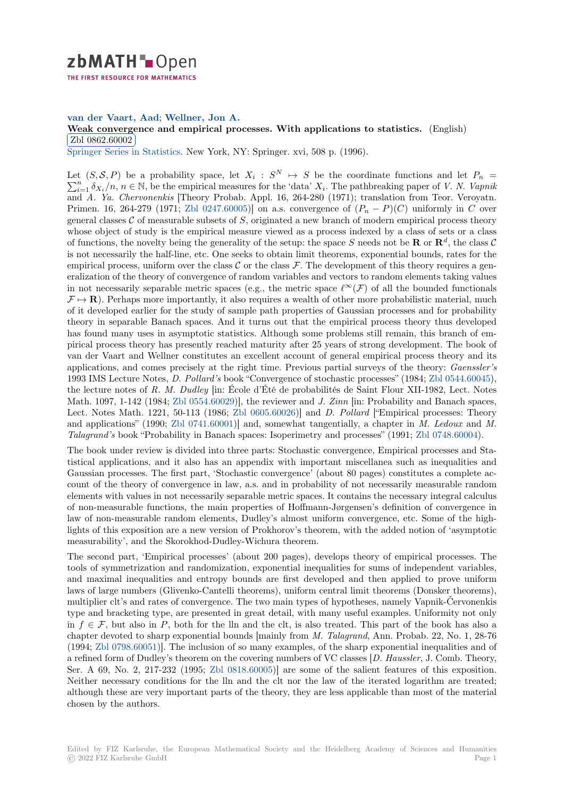

**van der Vaart, Aad**; **Wellner, Jon A.**

## **[W](https://zbmath.org/)eak convergence and empirical processes. With applications to statistics.** (English) Zbl 0862.60002

✂ ✁ Springer Series in Statistics. New York, NY: Springer. xvi, 508 p. (1996).

Let  $(S, \mathcal{S}, P)$  [be a probability space, let](https://zbmath.org/0862.60002)  $X_i : S^N \to S$  be the coordinate functions and let  $P_n =$  $\sum_{i=1}^{n} \delta_{X_i}/n, n \in \mathbb{N}$ , be the empirical measures for the 'data'  $X_i$ . The pathbreaking paper of *V. N. Vapnik* and *[A. Ya. Chervonenkis](https://zbmath.org/journals/?q=se:7999)* [Theory Probab. Appl. 16, 264-280 (1971); translation from Teor. Veroyatn. Primen. 16, 264-279 (1971; Zbl 0247.60005)] on a.s. convergence of  $(P_n - P)(C)$  uniformly in *C* over general classes  $C$  of measurable subsets of  $S$ , originated a new branch of modern empirical process theory whose object of study is the empirical measure viewed as a process indexed by a class of sets or a class of functions, the novelty being the generality of the setup: the space  $S$  needs not be **R** or  $\mathbb{R}^d$ , the class  $C$ is not necessarily the half-li[ne, etc. One seek](https://zbmath.org/?q=an:0247.60005)s to obtain limit theorems, exponential bounds, rates for the empirical process, uniform over the class  $\mathcal C$  or the class  $\mathcal F$ . The development of this theory requires a generalization of the theory of convergence of random variables and vectors to random elements taking values in not necessarily separable metric spaces (e.g., the metric space  $\ell^{\infty}(\mathcal{F})$  of all the bounded functionals  $\mathcal{F} \mapsto \mathbf{R}$ ). Perhaps more importantly, it also requires a wealth of other more probabilistic material, much of it developed earlier for the study of sample path properties of Gaussian processes and for probability theory in separable Banach spaces. And it turns out that the empirical process theory thus developed has found many uses in asymptotic statistics. Although some problems still remain, this branch of empirical process theory has presently reached maturity after 25 years of strong development. The book of van der Vaart and Wellner constitutes an excellent account of general empirical process theory and its applications, and comes precisely at the right time. Previous partial surveys of the theory: *Gaenssler's* 1993 IMS Lecture Notes, *D. Pollard's* book "Convergence of stochastic processes" (1984; Zbl 0544.60045), the lecture notes of *R. M. Dudley* [in: École d'Été de probabilités de Saint Flour XII-1982, Lect. Notes Math. 1097, 1-142 (1984; Zbl 0554.60029)], the reviewer and *J. Zinn* [in: Probability and Banach spaces, Lect. Notes Math. 1221, 50-113 (1986; Zbl 0605.60026)] and *D. Pollard* ["Empirical processes: Theory and applications" (1990; Zbl 0741.60001)] and, somewhat tangentially, a chapter in *M[. Ledoux](https://zbmath.org/?q=an:0544.60045)* and *M. Talagrand's* book "Probability in Banach spaces: Isoperimetry and processes" (1991; Zbl 0748.60004).

The book under reviewis [divided into th](https://zbmath.org/?q=an:0554.60029)ree parts: Stochastic convergence, Empirical processes and Statistical applications, and it also has an [appendix with](https://zbmath.org/?q=an:0605.60026) important miscellanea such as inequalities and Gaussian processes. The [first part, 'Stoch](https://zbmath.org/?q=an:0741.60001)astic convergence' (about 80 pages) constitutes a complete account of the theory of convergence in law, a.s. and in probability of not necessarily [measurable ran](https://zbmath.org/?q=an:0748.60004)dom elements with values in not necessarily separable metric spaces. It contains the necessary integral calculus of non-measurable functions, the main properties of Hoffmann-Jørgensen's definition of convergence in law of non-measurable random elements, Dudley's almost uniform convergence, etc. Some of the highlights of this exposition are a new version of Prokhorov's theorem, with the added notion of 'asymptotic measurability', and the Skorokhod-Dudley-Wichura theorem.

The second part, 'Empirical processes' (about 200 pages), develops theory of empirical processes. The tools of symmetrization and randomization, exponential inequalities for sums of independent variables, and maximal inequalities and entropy bounds are first developed and then applied to prove uniform laws of large numbers (Glivenko-Cantelli theorems), uniform central limit theorems (Donsker theorems), multiplier clt's and rates of convergence. The two main types of hypotheses, namely Vapnik-Červonenkis type and bracketing type, are presented in great detail, with many useful examples. Uniformity not only in *f*  $∈$  *F*, but also in *P*, both for the lln and the clt, is also treated. This part of the book has also a chapter devoted to sharp exponential bounds [mainly from *M. Talagrand*, Ann. Probab. 22, No. 1, 28-76 (1994; Zbl 0798.60051)]. The inclusion of so many examples, of the sharp exponential inequalities and of a refined form of Dudley's theorem on the covering numbers of VC classes [*D. Haussler*, J. Comb. Theory, Ser. A 69, No. 2, 217-232 (1995; Zbl 0818.60005)] are some of the salient features of this exposition. Neither necessary conditions for the lln and the clt nor the law of the iterated logarithm are treated; althou[gh these are ver](https://zbmath.org/?q=an:0798.60051)y important parts of the theory, they are less applicable than most of the material chosen by the authors.